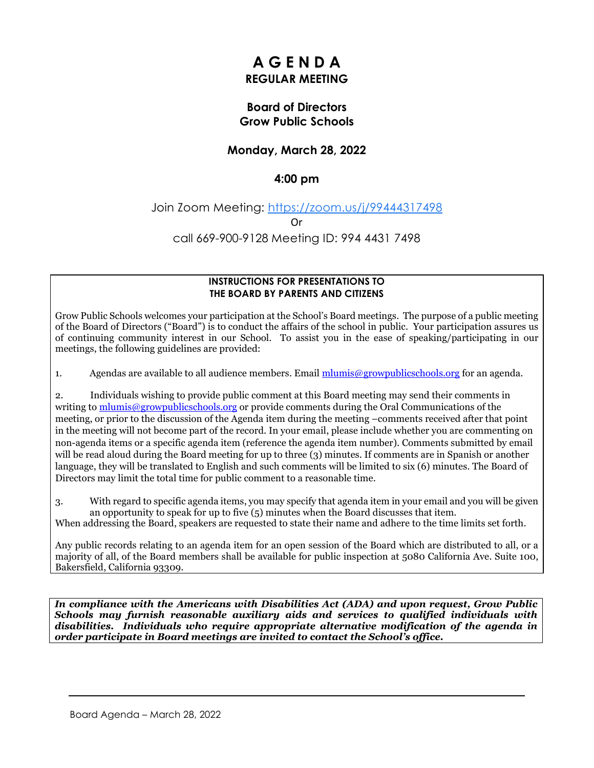# **A G E N D A REGULAR MEETING**

# **Board of Directors Grow Public Schools**

# **Monday, March 28, 2022**

### **4:00 pm**

#### Join Zoom Meeting: [https://zoom.us/j/99444317498](https://www.google.com/url?q=https://zoom.us/j/99444317498&sa=D&source=calendar&ust=1648599294982434&usg=AOvVaw1RVjLiReyzosuhrhv7U4MF)

Or

#### call 669-900-9128 Meeting ID: 994 4431 7498

#### **INSTRUCTIONS FOR PRESENTATIONS TO THE BOARD BY PARENTS AND CITIZENS**

Grow Public Schools welcomes your participation at the School's Board meetings. The purpose of a public meeting of the Board of Directors ("Board") is to conduct the affairs of the school in public. Your participation assures us of continuing community interest in our School. To assist you in the ease of speaking/participating in our meetings, the following guidelines are provided:

1. Agendas are available to all audience members. Email [mlumis@growpublicschools.org](mailto:mlumis@growpublicschools.org) for an agenda.

2. Individuals wishing to provide public comment at this Board meeting may send their comments in writing to [mlumis@growpublicschools.org](mailto:mlumis@growpublicschools.org) or provide comments during the Oral Communications of the meeting, or prior to the discussion of the Agenda item during the meeting –comments received after that point in the meeting will not become part of the record. In your email, please include whether you are commenting on non-agenda items or a specific agenda item (reference the agenda item number). Comments submitted by email will be read aloud during the Board meeting for up to three (3) minutes. If comments are in Spanish or another language, they will be translated to English and such comments will be limited to six (6) minutes. The Board of Directors may limit the total time for public comment to a reasonable time.

3. With regard to specific agenda items, you may specify that agenda item in your email and you will be given an opportunity to speak for up to five  $(5)$  minutes when the Board discusses that item. When addressing the Board, speakers are requested to state their name and adhere to the time limits set forth.

Any public records relating to an agenda item for an open session of the Board which are distributed to all, or a majority of all, of the Board members shall be available for public inspection at 5080 California Ave. Suite 100, Bakersfield, California 93309.

*In compliance with the Americans with Disabilities Act (ADA) and upon request, Grow Public Schools may furnish reasonable auxiliary aids and services to qualified individuals with disabilities. Individuals who require appropriate alternative modification of the agenda in order participate in Board meetings are invited to contact the School's office.*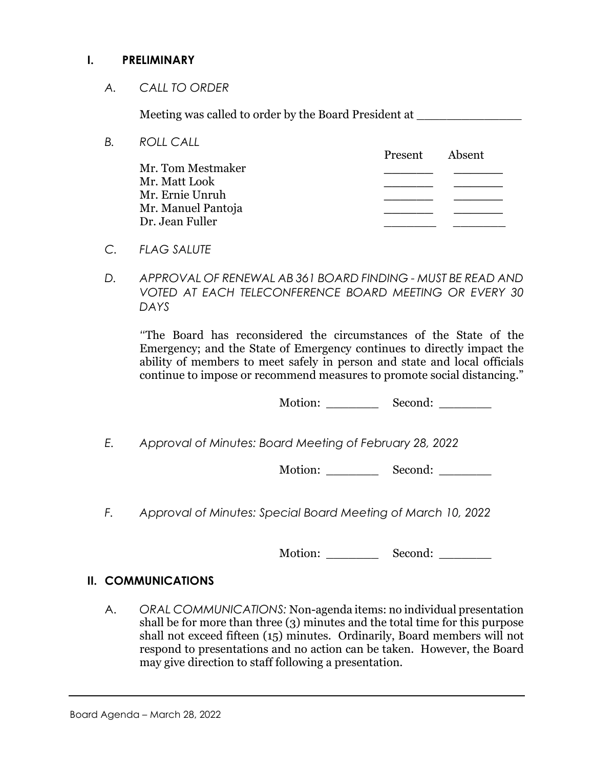# **I. PRELIMINARY**

*A. CALL TO ORDER*

Meeting was called to order by the Board President at

- *B. ROLL CALL* Present Absent Mr. Tom Mestmaker **\_\_\_\_\_\_ \_\_\_\_\_\_** Mr. Matt Look **\_\_\_\_\_\_ \_\_\_\_\_\_** Mr. Ernie Unruh **\_\_\_\_\_\_ \_\_\_\_\_\_** Mr. Manuel Pantoja **\_\_\_\_\_\_ \_\_\_\_\_\_** Dr. Jean Fuller \_\_\_\_\_\_\_ \_\_\_\_\_\_\_
- *C. FLAG SALUTE*
- *D. APPROVAL OF RENEWAL AB 361 BOARD FINDING - MUST BE READ AND VOTED AT EACH TELECONFERENCE BOARD MEETING OR EVERY 30 DAYS*

*"*The Board has reconsidered the circumstances of the State of the Emergency; and the State of Emergency continues to directly impact the ability of members to meet safely in person and state and local officials continue to impose or recommend measures to promote social distancing."

Motion: Second: \_\_\_\_\_\_\_\_

*E. Approval of Minutes: Board Meeting of February 28, 2022*

Motion: Second:

*F. Approval of Minutes: Special Board Meeting of March 10, 2022*

Motion: Second:

# **II. COMMUNICATIONS**

A. *ORAL COMMUNICATIONS:* Non-agenda items: no individual presentation shall be for more than three (3) minutes and the total time for this purpose shall not exceed fifteen (15) minutes. Ordinarily, Board members will not respond to presentations and no action can be taken. However, the Board may give direction to staff following a presentation.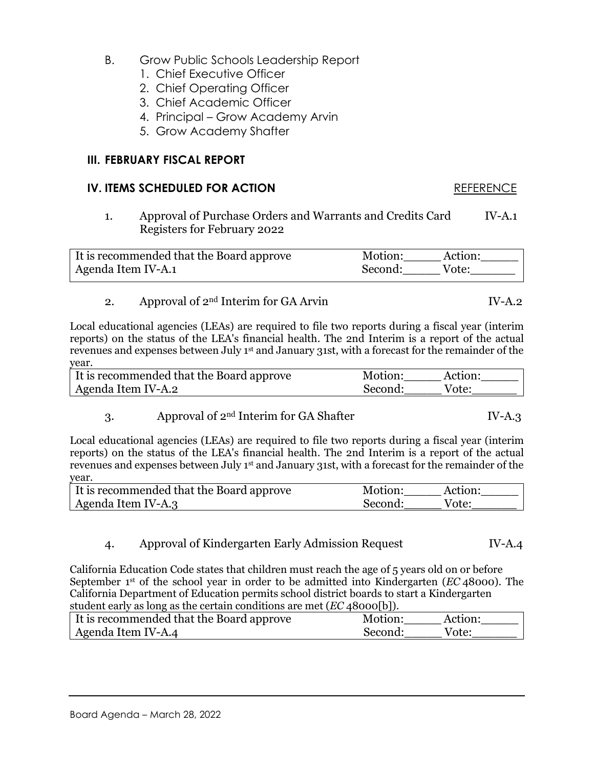Board Agenda – March 28, 2022

- B. Grow Public Schools Leadership Report
	- 1. Chief Executive Officer
	- 2. Chief Operating Officer
	- 3. Chief Academic Officer
	- 4. Principal Grow Academy Arvin
	- 5. Grow Academy Shafter

# **III. FEBRUARY FISCAL REPORT**

# **IV. ITEMS SCHEDULED FOR ACTION** REFERENCE

1. Approval of Purchase Orders and Warrants and Credits Card IV-A.1 Registers for February 2022

| It is recommended that the Board approve | Motion:<br>Action: |  |
|------------------------------------------|--------------------|--|
| Agenda Item IV-A.1                       | Second:<br>Vote:   |  |

#### 2. Approval of  $2<sup>nd</sup>$  Interim for GA Arvin IV-A.2

Local educational agencies (LEAs) are required to file two reports during a fiscal year (interim reports) on the status of the LEA's financial health. The 2nd Interim is a report of the actual revenues and expenses between July 1st and January 31st, with a forecast for the remainder of the year.

| It is recommended that the Board approve | Motion: | Action: |
|------------------------------------------|---------|---------|
| Agenda Item IV-A.2                       | Second: | Vote:   |

3. Approval of  $2<sup>nd</sup>$  Interim for GA Shafter IV-A.3

Local educational agencies (LEAs) are required to file two reports during a fiscal year (interim reports) on the status of the LEA's financial health. The 2nd Interim is a report of the actual revenues and expenses between July 1st and January 31st, with a forecast for the remainder of the year.

| It is recommended that the Board approve | Motion: | Action: |
|------------------------------------------|---------|---------|
| Agenda Item IV-A.3                       | Second: | Vote:   |

4. Approval of Kindergarten Early Admission Request IV-A.4

California Education Code states that children must reach the age of 5 years old on or before September 1st of the school year in order to be admitted into Kindergarten (*EC* 48000). The California Department of Education permits school district boards to start a Kindergarten student early as long as the certain conditions are met (*EC* 48000[b]).

| $\frac{1}{2}$ . The case $\frac{1}{2}$ and $\frac{1}{2}$ are $\frac{1}{2}$ . The content of the state $\frac{1}{2}$ of $\frac{1}{2}$ , $\frac{1}{2}$ |         |         |
|------------------------------------------------------------------------------------------------------------------------------------------------------|---------|---------|
| It is recommended that the Board approve                                                                                                             | Motion: | Action: |
| Agenda Item IV-A.4                                                                                                                                   | Second: | Vote:   |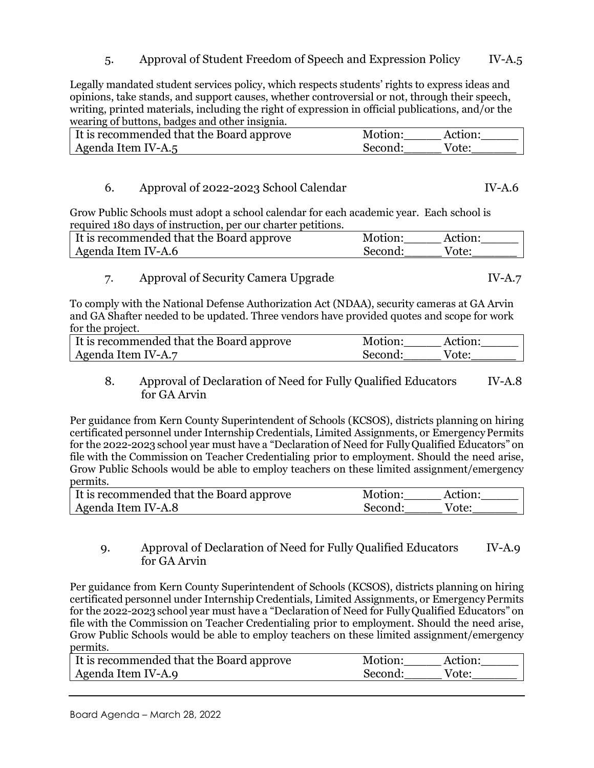5. Approval of Student Freedom of Speech and Expression Policy IV-A.5

Legally mandated student services policy, which respects students' rights to express ideas and opinions, take stands, and support causes, whether controversial or not, through their speech, writing, printed materials, including the right of expression in official publications, and/or the wearing of buttons, badges and other insignia.

| It is recommended that the Board approve | Motion: | Action: |
|------------------------------------------|---------|---------|
| Agenda Item IV-A.5                       | Second: | Vote:   |

### 6. Approval of 2022-2023 School Calendar IV-A.6

Grow Public Schools must adopt a school calendar for each academic year. Each school is required 180 days of instruction, per our charter petitions.

| It is recommended that the Board approve | Motion: | Action: |
|------------------------------------------|---------|---------|
| Agenda Item IV-A.6                       | Second: | Vote:   |

#### 7. Approval of Security Camera Upgrade IV-A.7

To comply with the National Defense Authorization Act (NDAA), security cameras at GA Arvin and GA Shafter needed to be updated. Three vendors have provided quotes and scope for work for the project.

| If is recommended that the Board approve | Motion: | Action: |
|------------------------------------------|---------|---------|
| Agenda Item IV-A.7                       | Second: | Vote:   |

#### 8. Approval of Declaration of Need for Fully Qualified Educators IV-A.8 for GA Arvin

Per guidance from Kern County Superintendent of Schools (KCSOS), districts planning on hiring certificated personnel under Internship Credentials, Limited Assignments, or EmergencyPermits for the 2022-2023 school year must have a "Declaration of Need for FullyQualified Educators" on file with the Commission on Teacher Credentialing prior to employment. Should the need arise, Grow Public Schools would be able to employ teachers on these limited assignment/emergency permits.

| It is recommended that the Board approve | Motion:<br>Action: |  |
|------------------------------------------|--------------------|--|
| Agenda Item IV-A.8                       | Second:<br>Vote:   |  |

# 9. Approval of Declaration of Need for Fully Qualified Educators IV-A.9 for GA Arvin

Per guidance from Kern County Superintendent of Schools (KCSOS), districts planning on hiring certificated personnel under Internship Credentials, Limited Assignments, or EmergencyPermits for the 2022-2023 school year must have a "Declaration of Need for FullyQualified Educators" on file with the Commission on Teacher Credentialing prior to employment. Should the need arise, Grow Public Schools would be able to employ teachers on these limited assignment/emergency permits.

| It is recommended that the Board approve | Motion:<br>Action: |
|------------------------------------------|--------------------|
| Agenda Item IV-A.9                       | Second:<br>Vote:   |